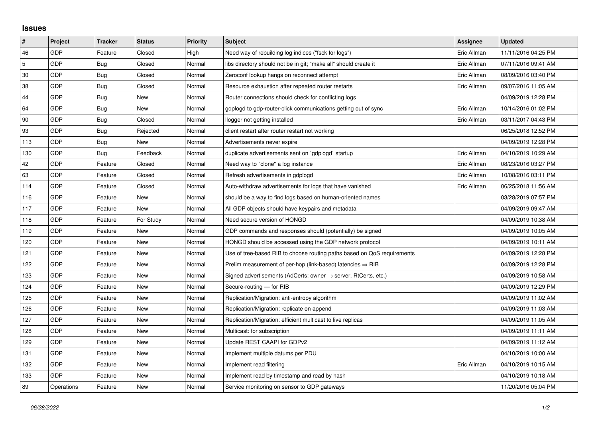## **Issues**

| $\vert$ #  | Project    | <b>Tracker</b> | <b>Status</b> | <b>Priority</b> | <b>Subject</b>                                                             | Assignee    | <b>Updated</b>      |
|------------|------------|----------------|---------------|-----------------|----------------------------------------------------------------------------|-------------|---------------------|
| 46         | GDP        | Feature        | Closed        | High            | Need way of rebuilding log indices ("fsck for logs")                       | Eric Allman | 11/11/2016 04:25 PM |
| $\sqrt{5}$ | GDP        | Bug            | Closed        | Normal          | libs directory should not be in git; "make all" should create it           | Eric Allman | 07/11/2016 09:41 AM |
| $30\,$     | GDP        | Bug            | Closed        | Normal          | Zeroconf lookup hangs on reconnect attempt                                 | Eric Allman | 08/09/2016 03:40 PM |
| 38         | GDP        | Bug            | Closed        | Normal          | Resource exhaustion after repeated router restarts                         | Eric Allman | 09/07/2016 11:05 AM |
| 44         | GDP        | Bug            | <b>New</b>    | Normal          | Router connections should check for conflicting logs                       |             | 04/09/2019 12:28 PM |
| 64         | GDP        | Bug            | New           | Normal          | gdplogd to gdp-router-click communications getting out of sync             | Eric Allman | 10/14/2016 01:02 PM |
| 90         | GDP        | Bug            | Closed        | Normal          | llogger not getting installed                                              | Eric Allman | 03/11/2017 04:43 PM |
| 93         | GDP        | Bug            | Rejected      | Normal          | client restart after router restart not working                            |             | 06/25/2018 12:52 PM |
| 113        | GDP        | Bug            | New           | Normal          | Advertisements never expire                                                |             | 04/09/2019 12:28 PM |
| 130        | GDP        | Bug            | Feedback      | Normal          | duplicate advertisements sent on `gdplogd` startup                         | Eric Allman | 04/10/2019 10:29 AM |
| 42         | GDP        | Feature        | Closed        | Normal          | Need way to "clone" a log instance                                         | Eric Allman | 08/23/2016 03:27 PM |
| 63         | GDP        | Feature        | Closed        | Normal          | Refresh advertisements in gdplogd                                          | Eric Allman | 10/08/2016 03:11 PM |
| 114        | GDP        | Feature        | Closed        | Normal          | Auto-withdraw advertisements for logs that have vanished                   | Eric Allman | 06/25/2018 11:56 AM |
| 116        | GDP        | Feature        | New           | Normal          | should be a way to find logs based on human-oriented names                 |             | 03/28/2019 07:57 PM |
| 117        | GDP        | Feature        | New           | Normal          | All GDP objects should have keypairs and metadata                          |             | 04/09/2019 09:47 AM |
| 118        | GDP        | Feature        | For Study     | Normal          | Need secure version of HONGD                                               |             | 04/09/2019 10:38 AM |
| 119        | GDP        | Feature        | New           | Normal          | GDP commands and responses should (potentially) be signed                  |             | 04/09/2019 10:05 AM |
| 120        | GDP        | Feature        | New           | Normal          | HONGD should be accessed using the GDP network protocol                    |             | 04/09/2019 10:11 AM |
| 121        | GDP        | Feature        | New           | Normal          | Use of tree-based RIB to choose routing paths based on QoS requirements    |             | 04/09/2019 12:28 PM |
| 122        | GDP        | Feature        | New           | Normal          | Prelim measurement of per-hop (link-based) latencies $\Rightarrow$ RIB     |             | 04/09/2019 12:28 PM |
| 123        | GDP        | Feature        | New           | Normal          | Signed advertisements (AdCerts: owner $\rightarrow$ server, RtCerts, etc.) |             | 04/09/2019 10:58 AM |
| 124        | GDP        | Feature        | New           | Normal          | Secure-routing - for RIB                                                   |             | 04/09/2019 12:29 PM |
| 125        | GDP        | Feature        | New           | Normal          | Replication/Migration: anti-entropy algorithm                              |             | 04/09/2019 11:02 AM |
| 126        | GDP        | Feature        | New           | Normal          | Replication/Migration: replicate on append                                 |             | 04/09/2019 11:03 AM |
| 127        | GDP        | Feature        | New           | Normal          | Replication/Migration: efficient multicast to live replicas                |             | 04/09/2019 11:05 AM |
| 128        | GDP        | Feature        | New           | Normal          | Multicast: for subscription                                                |             | 04/09/2019 11:11 AM |
| 129        | GDP        | Feature        | New           | Normal          | Update REST CAAPI for GDPv2                                                |             | 04/09/2019 11:12 AM |
| 131        | GDP        | Feature        | New           | Normal          | Implement multiple datums per PDU                                          |             | 04/10/2019 10:00 AM |
| 132        | GDP        | Feature        | New           | Normal          | Implement read filtering                                                   | Eric Allman | 04/10/2019 10:15 AM |
| 133        | GDP        | Feature        | New           | Normal          | Implement read by timestamp and read by hash                               |             | 04/10/2019 10:18 AM |
| 89         | Operations | Feature        | New           | Normal          | Service monitoring on sensor to GDP gateways                               |             | 11/20/2016 05:04 PM |